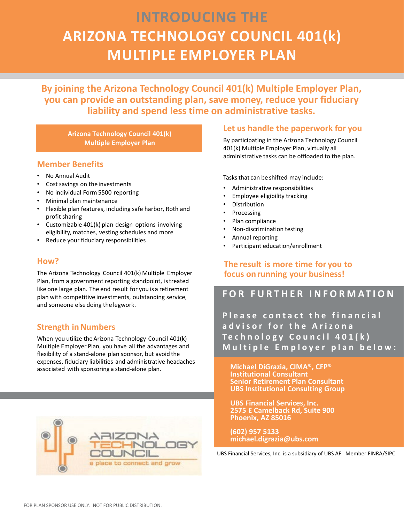# **INTRODUCING THE ARIZONA TECHNOLOGY COUNCIL 401(k) MULTIPLE EMPLOYER PLAN**

**By joining the Arizona Technology Council 401(k) Multiple Employer Plan, you can provide an outstanding plan, save money, reduce your fiduciary liability and spend less time on administrative tasks.**

**Arizona Technology Council 401(k) Multiple Employer Plan**

#### **Member Benefits**

- No Annual Audit
- Cost savings on the investments
- No individual Form 5500 reporting
- Minimal plan maintenance
- Flexible plan features, including safe harbor, Roth and profit sharing
- Customizable 401(k) plan design options involving eligibility, matches, vesting schedules and more
- Reduce your fiduciary responsibilities

#### **How?**

The Arizona Technology Council 401(k) Multiple Employer Plan, from a government reporting standpoint, istreated like one large plan. The end result for you is a retirement plan with competitive investments, outstanding service, and someone else doing the legwork.

#### **Strength in Numbers**

When you utilize theArizona Technology Council 401(k) Multiple Employer Plan, you have all the advantages and flexibility of a stand-alone plan sponsor, but avoid the expenses, fiduciary liabilities and administrative headaches associated with sponsoring a stand-alone plan.



#### **Let us handle the paperwork for you**

By participating in the Arizona Technology Council 401(k) Multiple Employer Plan, virtually all administrative tasks can be offloaded to the plan.

Tasks that can be shifted may include:

- Administrative responsibilities
- Employee eligibility tracking
- **Distribution**
- **Processing**
- Plan compliance
- Non-discrimination testing
- Annual reporting
- Participant education/enrollment

**The result is more time for you to focus onrunning your business!**

### **FOR FURTHER INFORMATION**

**Please contact the financial advisor for the Arizona Technology Council 401(k) Multiple Employer plan below:**

**Michael DiGrazia, CIMA®, CFP® Institutional Consultant Senior Retirement Plan Consultant UBS Institutional Consulting Group**

**UBS Financial Services, Inc. 2575 E Camelback Rd, Suite 900 Phoenix, AZ 85016**

**(602) 957 5133 michael.digrazia@ubs.com**

UBS Financial Services, Inc. is a subsidiary of UBS AF. Member FINRA/SIPC.